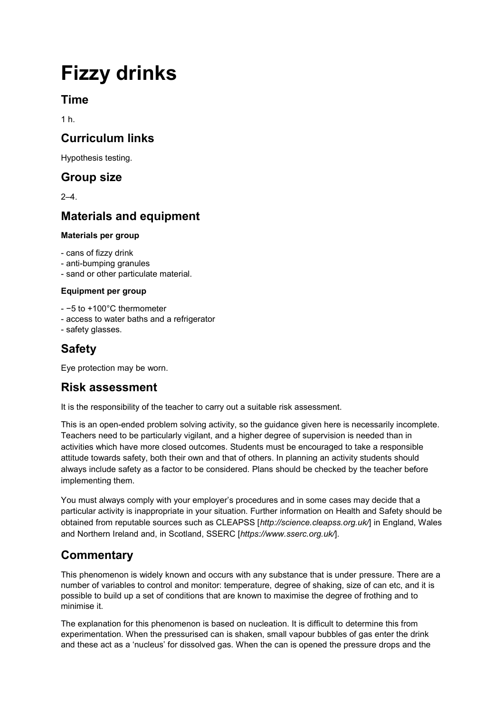# **Fizzy drinks**

## **Time**

1 h.

# **Curriculum links**

Hypothesis testing.

### **Group size**

2–4.

# **Materials and equipment**

#### **Materials per group**

- cans of fizzy drink

- anti-bumping granules
- sand or other particulate material.

#### **Equipment per group**

- −5 to +100°C thermometer

- access to water baths and a refrigerator

- safety glasses.

# **Safety**

Eye protection may be worn.

## **Risk assessment**

It is the responsibility of the teacher to carry out a suitable risk assessment.

This is an open-ended problem solving activity, so the guidance given here is necessarily incomplete. Teachers need to be particularly vigilant, and a higher degree of supervision is needed than in activities which have more closed outcomes. Students must be encouraged to take a responsible attitude towards safety, both their own and that of others. In planning an activity students should always include safety as a factor to be considered. Plans should be checked by the teacher before implementing them.

You must always comply with your employer's procedures and in some cases may decide that a particular activity is inappropriate in your situation. Further information on Health and Safety should be obtained from reputable sources such as CLEAPSS [*http://science.cleapss.org.uk/*] in England, Wales and Northern Ireland and, in Scotland, SSERC [*https://www.sserc.org.uk/*].

# **Commentary**

This phenomenon is widely known and occurs with any substance that is under pressure. There are a number of variables to control and monitor: temperature, degree of shaking, size of can etc, and it is possible to build up a set of conditions that are known to maximise the degree of frothing and to minimise it.

The explanation for this phenomenon is based on nucleation. It is difficult to determine this from experimentation. When the pressurised can is shaken, small vapour bubbles of gas enter the drink and these act as a 'nucleus' for dissolved gas. When the can is opened the pressure drops and the